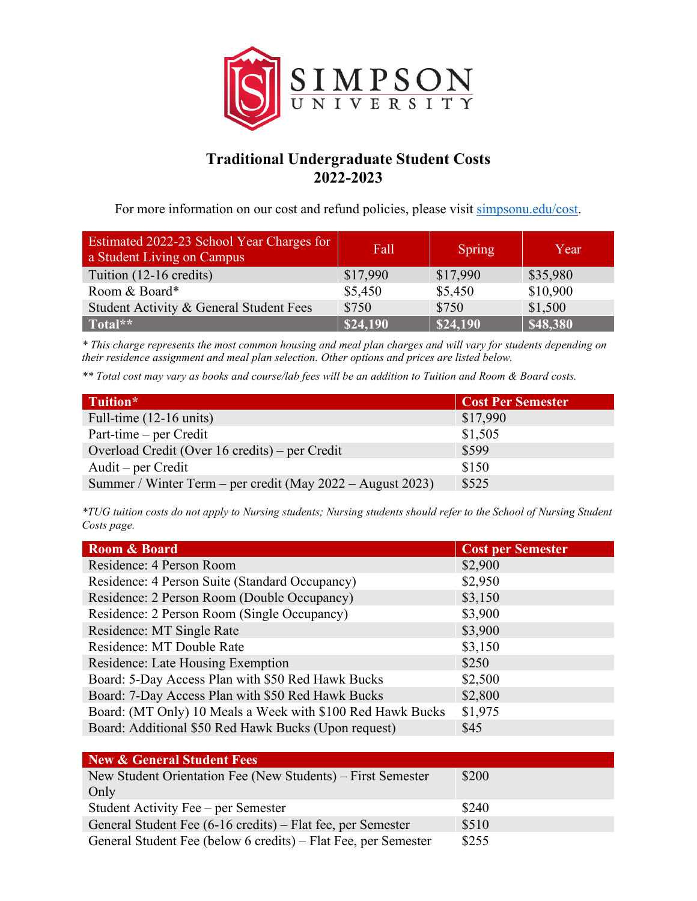

## **Traditional Undergraduate Student Costs 2022-2023**

For more information on our cost and refund policies, please visit [simpsonu.edu/cost.](https://www.simpsonu.edu/cost)

| Estimated 2022-23 School Year Charges for<br>a Student Living on Campus | Fall     | Spring   | Year     |
|-------------------------------------------------------------------------|----------|----------|----------|
| Tuition (12-16 credits)                                                 | \$17,990 | \$17,990 | \$35,980 |
| Room & Board*                                                           | \$5,450  | \$5,450  | \$10,900 |
| Student Activity & General Student Fees                                 | \$750    | \$750    | \$1,500  |
| Total**                                                                 | \$24,190 | \$24,190 | \$48,380 |

*\* This charge represents the most common housing and meal plan charges and will vary for students depending on their residence assignment and meal plan selection. Other options and prices are listed below.*

*\*\* Total cost may vary as books and course/lab fees will be an addition to Tuition and Room & Board costs.*

| Tuition*                                                   | <b>Cost Per Semester</b> |
|------------------------------------------------------------|--------------------------|
| Full-time $(12-16 \text{ units})$                          | \$17,990                 |
| Part-time – per Credit                                     | \$1,505                  |
| Overload Credit (Over 16 credits) – per Credit             | \$599                    |
| Audit – per Credit                                         | \$150                    |
| Summer / Winter Term – per credit (May 2022 – August 2023) | \$525                    |

*\*TUG tuition costs do not apply to Nursing students; Nursing students should refer to the School of Nursing Student Costs page.*

| Room & Board                                               | <b>Cost per Semester</b> |
|------------------------------------------------------------|--------------------------|
| Residence: 4 Person Room                                   | \$2,900                  |
| Residence: 4 Person Suite (Standard Occupancy)             | \$2,950                  |
| Residence: 2 Person Room (Double Occupancy)                | \$3,150                  |
| Residence: 2 Person Room (Single Occupancy)                | \$3,900                  |
| Residence: MT Single Rate                                  | \$3,900                  |
| Residence: MT Double Rate                                  | \$3,150                  |
| Residence: Late Housing Exemption                          | \$250                    |
| Board: 5-Day Access Plan with \$50 Red Hawk Bucks          | \$2,500                  |
| Board: 7-Day Access Plan with \$50 Red Hawk Bucks          | \$2,800                  |
| Board: (MT Only) 10 Meals a Week with \$100 Red Hawk Bucks | \$1,975                  |
| Board: Additional \$50 Red Hawk Bucks (Upon request)       | \$45                     |

| New & General Student Fees                                     |       |
|----------------------------------------------------------------|-------|
| New Student Orientation Fee (New Students) – First Semester    | \$200 |
| Only                                                           |       |
| Student Activity Fee – per Semester                            | \$240 |
| General Student Fee (6-16 credits) – Flat fee, per Semester    | \$510 |
| General Student Fee (below 6 credits) – Flat Fee, per Semester | \$255 |